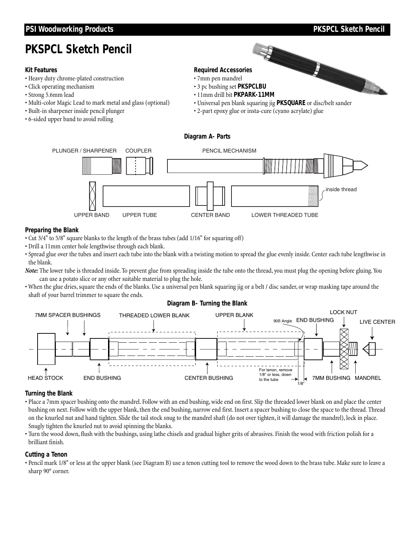# **PSI Woodworking Products PSI Woodworking Products PSI**

# **PKSPCL Sketch Pencil**

#### **Kit Features**

- Heavy duty chrome-plated construction
- Click operating mechanism
- Strong 5.6mm lead
- Multi-color Magic Lead to mark metal and glass (optional)
- Built-in sharpener inside pencil plunger
- 6-sided upper band to avoid rolling

# **Required Accessories**

- 7mm pen mandrel
- 3 pc bushing set **PKSPCLBU**
- 11mm drill bit **PKPARK-11MM**
- Universal pen blank squaring jig **PKSQUARE** or disc/belt sander
- 2-part epoxy glue or insta-cure (cyano acrylate) glue

### **Diagram A- Parts**



### **Preparing the Blank**

- Cut 3/4" to 5/8" square blanks to the length of the brass tubes (add 1/16" for squaring off)
- Drill a 11mm center hole lengthwise through each blank.
- Spread glue over the tubes and insert each tube into the blank with a twisting motion to spread the glue evenly inside. Center each tube lengthwise in the blank.

*Note:* The lower tube is threaded inside. To prevent glue from spreading inside the tube onto the thread, you must plug the opening before gluing. You can use a potato slice or any other suitable material to plug the hole.

• When the glue dries, square the ends of the blanks. Use a universal pen blank squaring jig or a belt / disc sander, or wrap masking tape around the shaft of your barrel trimmer to square the ends.

#### **Diagram B- Turning the Blank**



### **Turning the Blank**

- Place a 7mm spacer bushing onto the mandrel. Follow with an end bushing, wide end on first. Slip the threaded lower blank on and place the center bushing on next. Follow with the upper blank, then the end bushing, narrow end first. Insert a spacer bushing to close the space to the thread. Thread on the knurled nut and hand tighten. Slide the tail stock snug to the mandrel shaft (do not over tighten, it will damage the mandrel), lock in place. Snugly tighten the knurled nut to avoid spinning the blanks.
- Turn the wood down, flush with the bushings, using lathe chisels and gradual higher grits of abrasives. Finish the wood with friction polish for a brilliant finish.

#### **Cutting a Tenon**

• Pencil mark 1/8" or less at the upper blank (see Diagram B) use a tenon cutting tool to remove the wood down to the brass tube. Make sure to leave a sharp 90° corner.